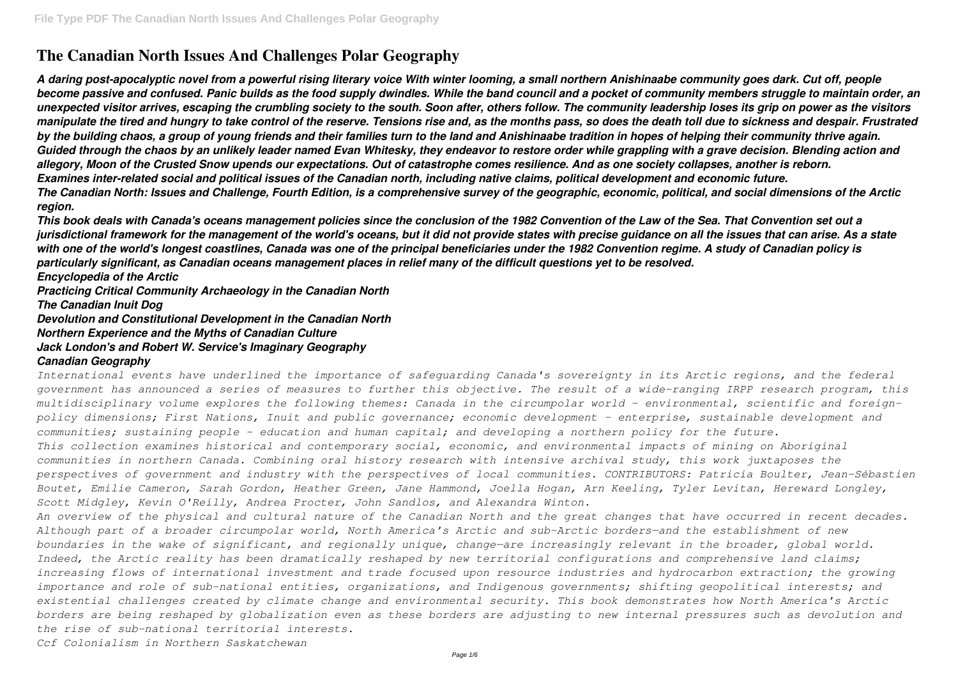# **The Canadian North Issues And Challenges Polar Geography**

*A daring post-apocalyptic novel from a powerful rising literary voice With winter looming, a small northern Anishinaabe community goes dark. Cut off, people become passive and confused. Panic builds as the food supply dwindles. While the band council and a pocket of community members struggle to maintain order, an unexpected visitor arrives, escaping the crumbling society to the south. Soon after, others follow. The community leadership loses its grip on power as the visitors manipulate the tired and hungry to take control of the reserve. Tensions rise and, as the months pass, so does the death toll due to sickness and despair. Frustrated by the building chaos, a group of young friends and their families turn to the land and Anishinaabe tradition in hopes of helping their community thrive again. Guided through the chaos by an unlikely leader named Evan Whitesky, they endeavor to restore order while grappling with a grave decision. Blending action and allegory, Moon of the Crusted Snow upends our expectations. Out of catastrophe comes resilience. And as one society collapses, another is reborn. Examines inter-related social and political issues of the Canadian north, including native claims, political development and economic future. The Canadian North: Issues and Challenge, Fourth Edition, is a comprehensive survey of the geographic, economic, political, and social dimensions of the Arctic region.*

*This book deals with Canada's oceans management policies since the conclusion of the 1982 Convention of the Law of the Sea. That Convention set out a jurisdictional framework for the management of the world's oceans, but it did not provide states with precise guidance on all the issues that can arise. As a state with one of the world's longest coastlines, Canada was one of the principal beneficiaries under the 1982 Convention regime. A study of Canadian policy is particularly significant, as Canadian oceans management places in relief many of the difficult questions yet to be resolved. Encyclopedia of the Arctic*

*Practicing Critical Community Archaeology in the Canadian North The Canadian Inuit Dog Devolution and Constitutional Development in the Canadian North Northern Experience and the Myths of Canadian Culture Jack London's and Robert W. Service's Imaginary Geography Canadian Geography*

*International events have underlined the importance of safeguarding Canada's sovereignty in its Arctic regions, and the federal government has announced a series of measures to further this objective. The result of a wide-ranging IRPP research program, this multidisciplinary volume explores the following themes: Canada in the circumpolar world - environmental, scientific and foreignpolicy dimensions; First Nations, Inuit and public governance; economic development - enterprise, sustainable development and communities; sustaining people - education and human capital; and developing a northern policy for the future. This collection examines historical and contemporary social, economic, and environmental impacts of mining on Aboriginal communities in northern Canada. Combining oral history research with intensive archival study, this work juxtaposes the perspectives of government and industry with the perspectives of local communities. CONTRIBUTORS: Patricia Boulter, Jean-Sébastien Boutet, Emilie Cameron, Sarah Gordon, Heather Green, Jane Hammond, Joella Hogan, Arn Keeling, Tyler Levitan, Hereward Longley, Scott Midgley, Kevin O'Reilly, Andrea Procter, John Sandlos, and Alexandra Winton. An overview of the physical and cultural nature of the Canadian North and the great changes that have occurred in recent decades. Although part of a broader circumpolar world, North America's Arctic and sub-Arctic borders—and the establishment of new boundaries in the wake of significant, and regionally unique, change—are increasingly relevant in the broader, global world. Indeed, the Arctic reality has been dramatically reshaped by new territorial configurations and comprehensive land claims; increasing flows of international investment and trade focused upon resource industries and hydrocarbon extraction; the growing importance and role of sub-national entities, organizations, and Indigenous governments; shifting geopolitical interests; and existential challenges created by climate change and environmental security. This book demonstrates how North America's Arctic*

*borders are being reshaped by globalization even as these borders are adjusting to new internal pressures such as devolution and the rise of sub-national territorial interests.*

*Ccf Colonialism in Northern Saskatchewan*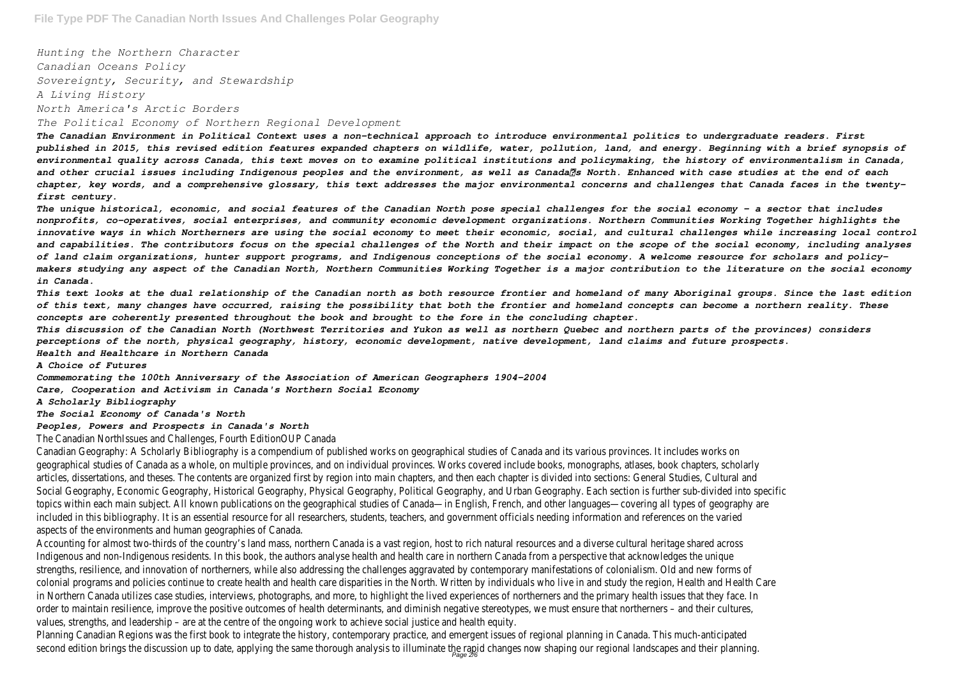*Hunting the Northern Character Canadian Oceans Policy Sovereignty, Security, and Stewardship A Living History North America's Arctic Borders The Political Economy of Northern Regional Development*

*The Canadian Environment in Political Context uses a non-technical approach to introduce environmental politics to undergraduate readers. First published in 2015, this revised edition features expanded chapters on wildlife, water, pollution, land, and energy. Beginning with a brief synopsis of environmental quality across Canada, this text moves on to examine political institutions and policymaking, the history of environmentalism in Canada,* and other crucial issues including Indigenous peoples and the environment, as well as Canada<sup>n</sup>s North. Enhanced with case studies at the end of each *chapter, key words, and a comprehensive glossary, this text addresses the major environmental concerns and challenges that Canada faces in the twentyfirst century.*

*The unique historical, economic, and social features of the Canadian North pose special challenges for the social economy – a sector that includes nonprofits, co-operatives, social enterprises, and community economic development organizations. Northern Communities Working Together highlights the innovative ways in which Northerners are using the social economy to meet their economic, social, and cultural challenges while increasing local control and capabilities. The contributors focus on the special challenges of the North and their impact on the scope of the social economy, including analyses of land claim organizations, hunter support programs, and Indigenous conceptions of the social economy. A welcome resource for scholars and policymakers studying any aspect of the Canadian North, Northern Communities Working Together is a major contribution to the literature on the social economy in Canada.*

*This text looks at the dual relationship of the Canadian north as both resource frontier and homeland of many Aboriginal groups. Since the last edition of this text, many changes have occurred, raising the possibility that both the frontier and homeland concepts can become a northern reality. These concepts are coherently presented throughout the book and brought to the fore in the concluding chapter.*

*This discussion of the Canadian North (Northwest Territories and Yukon as well as northern Quebec and northern parts of the provinces) considers perceptions of the north, physical geography, history, economic development, native development, land claims and future prospects. Health and Healthcare in Northern Canada*

#### *A Choice of Futures*

*Commemorating the 100th Anniversary of the Association of American Geographers 1904–2004 Care, Cooperation and Activism in Canada's Northern Social Economy*

#### *A Scholarly Bibliography*

*The Social Economy of Canada's North*

#### *Peoples, Powers and Prospects in Canada's North*

The Canadian NorthIssues and Challenges, Fourth Edition

Canadian Geography: A Scholarly Bibliography is a compendium of published works on geographical studies of Canada and its various geographical studies of Canada as a whole, on multiple provinces, and on individual provinces. Works covered include books, monographs, articles, dissertations, and theses. The contents are organized first by region into main chapters, and then each chapter is divided into sec Social Geography, Economic Geography, Historical Geography, Physical Geography, Political Geography, and Urban Geography. Each section i topics within each main subject. All known publications on the geographical studies of Canada—in English, French, and other languages—c included in this bibliography. It is an essential resource for all researchers, students, teachers, and government officials needing informa aspects of the environments and human geographic

Accounting for almost two-thirds of the country's land mass, northern Canada is a vast region, host to rich natural resources and a dive Indigenous and non-Indigenous residents. In this book, the authors analyse health and health care in northern Canada from a perspecti strengths, resilience, and innovation of northerners, while also addressing the challenges aggravated by contemporary manifestations of colonial programs and policies continue to create health and health care disparities in the North. Written by individuals who live in and study in Northern Canada utilizes case studies, interviews, photographs, and more, to highlight the lived experiences of northerners and the prim order to maintain resilience, improve the positive outcomes of health determinants, and diminish negative stereotypes, we must ensure th values, strengths, and leadership – are at the centre of the ongoing work to achieve social ju

Planning Canadian Regions was the first book to integrate the history, contemporary practice, and emergent issues of regional planning second edition brings the discussion up to date, applying the same thorough analysis to illuminate the rapid changes now shaping our regi<br>rage 2/6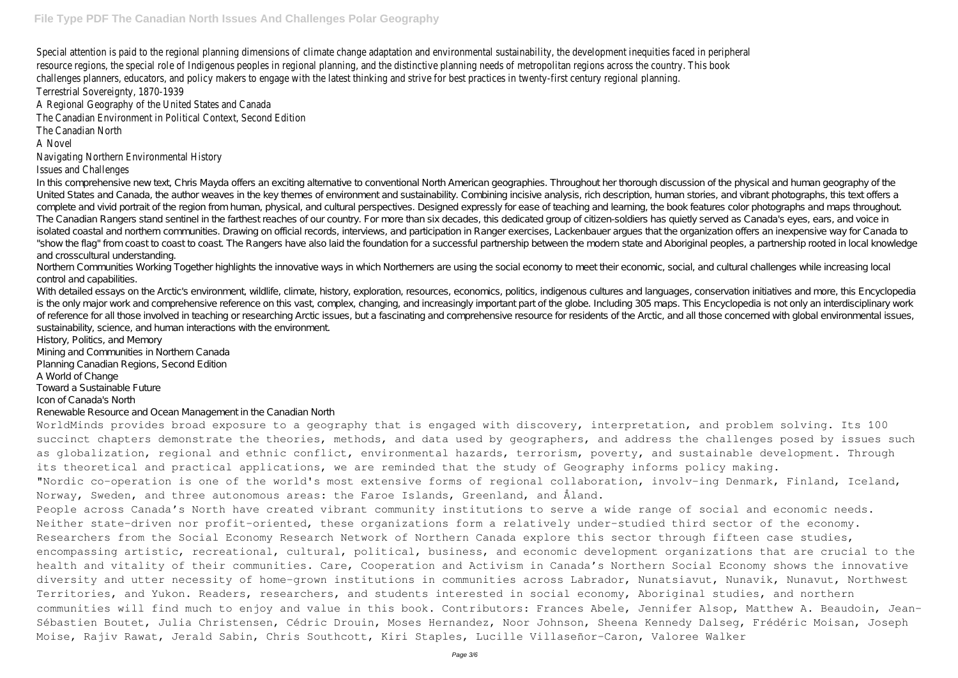Special attention is paid to the regional planning dimensions of climate change adaptation and environmental sustainability, the developn resource regions, the special role of Indigenous peoples in regional planning, and the distinctive planning needs of metropolitan regio challenges planners, educators, and policy makers to engage with the latest thinking and strive for best practices in twenty Terrestrial Sovereignty, 1870

A Regional Geography of the United States and Regional Geography of the United States

The Canadian Environment in Political Context. See

The Canadian No

A Nove

### Navigating Northern Environmental

### Issues and Challen

In this comprehensive new text, Chris Mayda offers an exciting alternative to conventional North American geographies. Throughout her thorough discussion of the physical and human geography of the United States and Canada, the author weaves in the key themes of environment and sustainability. Combining incisive analysis, rich description, human stories, and vibrant photographs, this text offers a complete and vivid portrait of the region from human, physical, and cultural perspectives. Designed expressly for ease of teaching and learning, the book features color photographs and maps throughout. The Canadian Rangers stand sentinel in the farthest reaches of our country. For more than six decades, this dedicated group of citizen-soldiers has quietly served as Canada's eyes, ears, and voice in isolated coastal and northern communities. Drawing on official records, interviews, and participation in Ranger exercises, Lackenbauer argues that the organization offers an inexpensive way for Canada to "show the flag" from coast to coast to coast. The Rangers have also laid the foundation for a successful partnership between the modern state and Aboriginal peoples, a partnership rooted in local knowledge and crosscultural understanding.

With detailed essays on the Arctic's environment, wildlife, climate, history, exploration, resources, economics, politics, indigenous cultures and languages, conservation initiatives and more, this Encyclopedia is the only major work and comprehensive reference on this vast, complex, changing, and increasingly important part of the globe. Including 305 maps. This Encyclopedia is not only an interdisciplinary work of reference for all those involved in teaching or researching Arctic issues, but a fascinating and comprehensive resource for residents of the Arctic, and all those concerned with global environmental issues, sustainability, science, and human interactions with the environment.

Northern Communities Working Together highlights the innovative ways in which Northerners are using the social economy to meet their economic, social, and cultural challenges while increasing local control and capabilities.

succinct chapters demonstrate the theories, methods, and data used by geographers, and address the challenges posed by issues such as globalization, regional and ethnic conflict, environmental hazards, terrorism, poverty, and sustainable development. Through its theoretical and practical applications, we are reminded that the study of Geography informs policy making. "Nordic co-operation is one of the world's most extensive forms of regional collaboration, involv-ing Denmark, Finland, Iceland, People across Canada's North have created vibrant community institutions to serve a wide range of social and economic needs. Neither state-driven nor profit-oriented, these organizations form a relatively under-studied third sector of the economy. Researchers from the Social Economy Research Network of Northern Canada explore this sector through fifteen case studies, encompassing artistic, recreational, cultural, political, business, and economic development organizations that are crucial to the health and vitality of their communities. Care, Cooperation and Activism in Canada's Northern Social Economy shows the innovative diversity and utter necessity of home-grown institutions in communities across Labrador, Nunatsiavut, Nunavik, Nunavut, Northwest Territories, and Yukon. Readers, researchers, and students interested in social economy, Aboriginal studies, and northern communities will find much to enjoy and value in this book. Contributors: Frances Abele, Jennifer Alsop, Matthew A. Beaudoin, Jean-Sébastien Boutet, Julia Christensen, Cédric Drouin, Moses Hernandez, Noor Johnson, Sheena Kennedy Dalseg, Frédéric Moisan, Joseph Moise, Rajiv Rawat, Jerald Sabin, Chris Southcott, Kiri Staples, Lucille Villaseñor-Caron, Valoree Walker

History, Politics, and Memory Mining and Communities in Northern Canada

Planning Canadian Regions, Second Edition

A World of Change

Toward a Sustainable Future

Icon of Canada's North

Renewable Resource and Ocean Management in the Canadian North

WorldMinds provides broad exposure to a geography that is engaged with discovery, interpretation, and problem solving. Its 100 Norway, Sweden, and three autonomous areas: the Faroe Islands, Greenland, and Åland.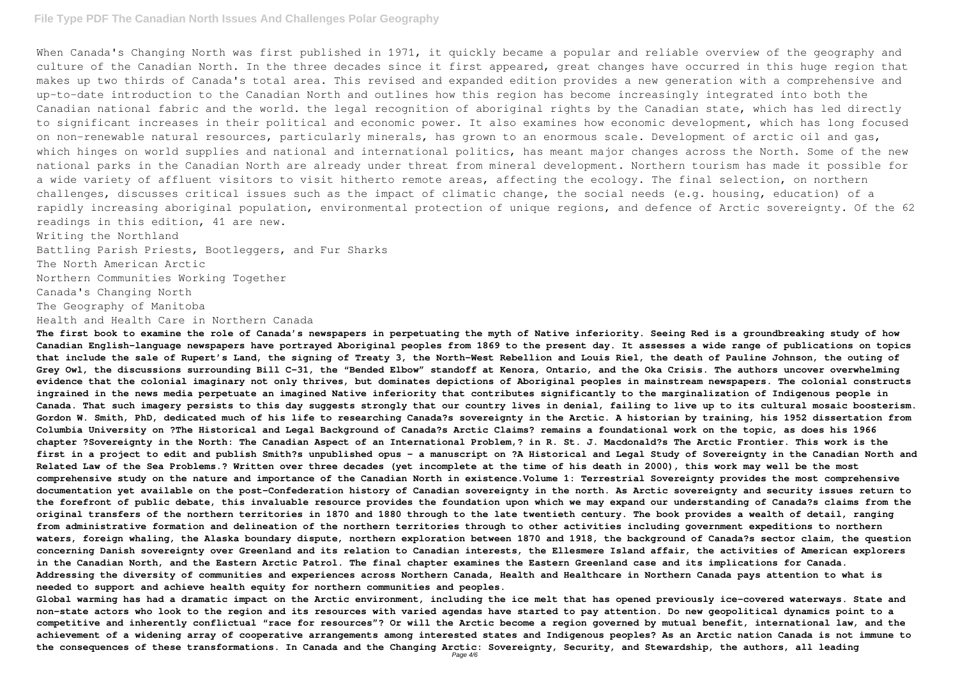When Canada's Changing North was first published in 1971, it quickly became a popular and reliable overview of the geography and culture of the Canadian North. In the three decades since it first appeared, great changes have occurred in this huge region that makes up two thirds of Canada's total area. This revised and expanded edition provides a new generation with a comprehensive and up-to-date introduction to the Canadian North and outlines how this region has become increasingly integrated into both the Canadian national fabric and the world. the legal recognition of aboriginal rights by the Canadian state, which has led directly to significant increases in their political and economic power. It also examines how economic development, which has long focused on non-renewable natural resources, particularly minerals, has grown to an enormous scale. Development of arctic oil and gas, which hinges on world supplies and national and international politics, has meant major changes across the North. Some of the new national parks in the Canadian North are already under threat from mineral development. Northern tourism has made it possible for a wide variety of affluent visitors to visit hitherto remote areas, affecting the ecology. The final selection, on northern challenges, discusses critical issues such as the impact of climatic change, the social needs (e.g. housing, education) of a rapidly increasing aboriginal population, environmental protection of unique regions, and defence of Arctic sovereignty. Of the 62 readings in this edition, 41 are new.

Writing the Northland

Battling Parish Priests, Bootleggers, and Fur Sharks

The North American Arctic

Northern Communities Working Together

Canada's Changing North

The Geography of Manitoba

Health and Health Care in Northern Canada

**The first book to examine the role of Canada's newspapers in perpetuating the myth of Native inferiority. Seeing Red is a groundbreaking study of how Canadian English-language newspapers have portrayed Aboriginal peoples from 1869 to the present day. It assesses a wide range of publications on topics that include the sale of Rupert's Land, the signing of Treaty 3, the North-West Rebellion and Louis Riel, the death of Pauline Johnson, the outing of Grey Owl, the discussions surrounding Bill C-31, the "Bended Elbow" standoff at Kenora, Ontario, and the Oka Crisis. The authors uncover overwhelming evidence that the colonial imaginary not only thrives, but dominates depictions of Aboriginal peoples in mainstream newspapers. The colonial constructs ingrained in the news media perpetuate an imagined Native inferiority that contributes significantly to the marginalization of Indigenous people in Canada. That such imagery persists to this day suggests strongly that our country lives in denial, failing to live up to its cultural mosaic boosterism. Gordon W. Smith, PhD, dedicated much of his life to researching Canada?s sovereignty in the Arctic. A historian by training, his 1952 dissertation from Columbia University on ?The Historical and Legal Background of Canada?s Arctic Claims? remains a foundational work on the topic, as does his 1966 chapter ?Sovereignty in the North: The Canadian Aspect of an International Problem,? in R. St. J. Macdonald?s The Arctic Frontier. This work is the first in a project to edit and publish Smith?s unpublished opus - a manuscript on ?A Historical and Legal Study of Sovereignty in the Canadian North and Related Law of the Sea Problems.? Written over three decades (yet incomplete at the time of his death in 2000), this work may well be the most comprehensive study on the nature and importance of the Canadian North in existence.Volume 1: Terrestrial Sovereignty provides the most comprehensive documentation yet available on the post-Confederation history of Canadian sovereignty in the north. As Arctic sovereignty and security issues return to the forefront of public debate, this invaluable resource provides the foundation upon which we may expand our understanding of Canada?s claims from the original transfers of the northern territories in 1870 and 1880 through to the late twentieth century. The book provides a wealth of detail, ranging from administrative formation and delineation of the northern territories through to other activities including government expeditions to northern waters, foreign whaling, the Alaska boundary dispute, northern exploration between 1870 and 1918, the background of Canada?s sector claim, the question concerning Danish sovereignty over Greenland and its relation to Canadian interests, the Ellesmere Island affair, the activities of American explorers in the Canadian North, and the Eastern Arctic Patrol. The final chapter examines the Eastern Greenland case and its implications for Canada. Addressing the diversity of communities and experiences across Northern Canada, Health and Healthcare in Northern Canada pays attention to what is needed to support and achieve health equity for northern communities and peoples.**

**Global warming has had a dramatic impact on the Arctic environment, including the ice melt that has opened previously ice-covered waterways. State and non-state actors who look to the region and its resources with varied agendas have started to pay attention. Do new geopolitical dynamics point to a competitive and inherently conflictual "race for resources"? Or will the Arctic become a region governed by mutual benefit, international law, and the achievement of a widening array of cooperative arrangements among interested states and Indigenous peoples? As an Arctic nation Canada is not immune to the consequences of these transformations. In Canada and the Changing Arctic: Sovereignty, Security, and Stewardship, the authors, all leading** Page 4/6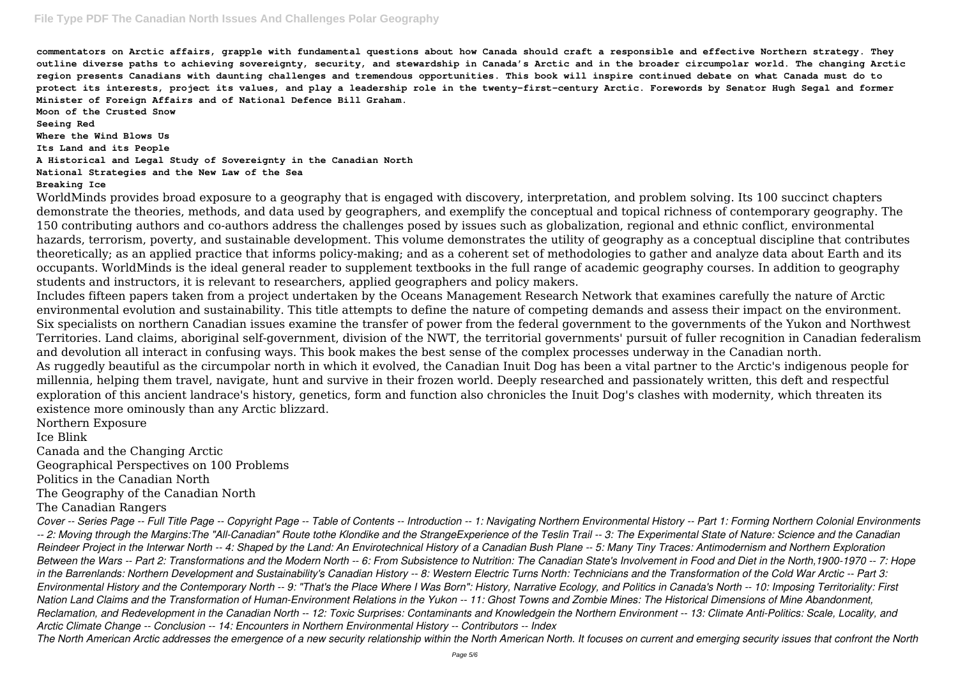**commentators on Arctic affairs, grapple with fundamental questions about how Canada should craft a responsible and effective Northern strategy. They outline diverse paths to achieving sovereignty, security, and stewardship in Canada's Arctic and in the broader circumpolar world. The changing Arctic region presents Canadians with daunting challenges and tremendous opportunities. This book will inspire continued debate on what Canada must do to protect its interests, project its values, and play a leadership role in the twenty-first-century Arctic. Forewords by Senator Hugh Segal and former Minister of Foreign Affairs and of National Defence Bill Graham. Moon of the Crusted Snow Seeing Red Where the Wind Blows Us Its Land and its People**

**A Historical and Legal Study of Sovereignty in the Canadian North**

### **National Strategies and the New Law of the Sea**

#### **Breaking Ice**

WorldMinds provides broad exposure to a geography that is engaged with discovery, interpretation, and problem solving. Its 100 succinct chapters demonstrate the theories, methods, and data used by geographers, and exemplify the conceptual and topical richness of contemporary geography. The 150 contributing authors and co-authors address the challenges posed by issues such as globalization, regional and ethnic conflict, environmental hazards, terrorism, poverty, and sustainable development. This volume demonstrates the utility of geography as a conceptual discipline that contributes theoretically; as an applied practice that informs policy-making; and as a coherent set of methodologies to gather and analyze data about Earth and its occupants. WorldMinds is the ideal general reader to supplement textbooks in the full range of academic geography courses. In addition to geography students and instructors, it is relevant to researchers, applied geographers and policy makers.

Includes fifteen papers taken from a project undertaken by the Oceans Management Research Network that examines carefully the nature of Arctic environmental evolution and sustainability. This title attempts to define the nature of competing demands and assess their impact on the environment. Six specialists on northern Canadian issues examine the transfer of power from the federal government to the governments of the Yukon and Northwest Territories. Land claims, aboriginal self-government, division of the NWT, the territorial governments' pursuit of fuller recognition in Canadian federalism and devolution all interact in confusing ways. This book makes the best sense of the complex processes underway in the Canadian north. As ruggedly beautiful as the circumpolar north in which it evolved, the Canadian Inuit Dog has been a vital partner to the Arctic's indigenous people for millennia, helping them travel, navigate, hunt and survive in their frozen world. Deeply researched and passionately written, this deft and respectful exploration of this ancient landrace's history, genetics, form and function also chronicles the Inuit Dog's clashes with modernity, which threaten its existence more ominously than any Arctic blizzard.

Northern Exposure

Ice Blink

Canada and the Changing Arctic

Geographical Perspectives on 100 Problems

Politics in the Canadian North

The Geography of the Canadian North

The Canadian Rangers

*Cover -- Series Page -- Full Title Page -- Copyright Page -- Table of Contents -- Introduction -- 1: Navigating Northern Environmental History -- Part 1: Forming Northern Colonial Environments -- 2: Moving through the Margins:The "All-Canadian" Route tothe Klondike and the StrangeExperience of the Teslin Trail -- 3: The Experimental State of Nature: Science and the Canadian Reindeer Project in the Interwar North -- 4: Shaped by the Land: An Envirotechnical History of a Canadian Bush Plane -- 5: Many Tiny Traces: Antimodernism and Northern Exploration Between the Wars -- Part 2: Transformations and the Modern North -- 6: From Subsistence to Nutrition: The Canadian State's Involvement in Food and Diet in the North,1900-1970 -- 7: Hope in the Barrenlands: Northern Development and Sustainability's Canadian History -- 8: Western Electric Turns North: Technicians and the Transformation of the Cold War Arctic -- Part 3: Environmental History and the Contemporary North -- 9: "That's the Place Where I Was Born": History, Narrative Ecology, and Politics in Canada's North -- 10: Imposing Territoriality: First Nation Land Claims and the Transformation of Human-Environment Relations in the Yukon -- 11: Ghost Towns and Zombie Mines: The Historical Dimensions of Mine Abandonment, Reclamation, and Redevelopment in the Canadian North -- 12: Toxic Surprises: Contaminants and Knowledgein the Northern Environment -- 13: Climate Anti-Politics: Scale, Locality, and Arctic Climate Change -- Conclusion -- 14: Encounters in Northern Environmental History -- Contributors -- Index The North American Arctic addresses the emergence of a new security relationship within the North American North. It focuses on current and emerging security issues that confront the North*